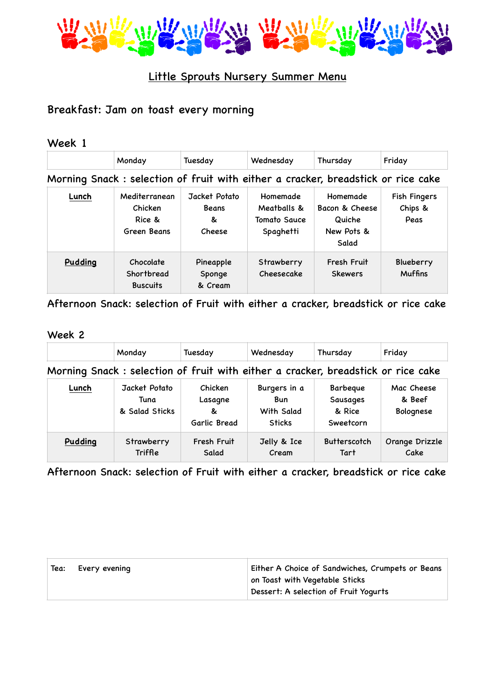

## Little Sprouts Nursery Summer Menu

# Breakfast: Jam on toast every morning

| Week 1                                                                           |                                                   |                                              |                                                      |                                                                    |                                        |
|----------------------------------------------------------------------------------|---------------------------------------------------|----------------------------------------------|------------------------------------------------------|--------------------------------------------------------------------|----------------------------------------|
|                                                                                  | Monday                                            | Tuesday                                      | Wednesday                                            | Thursday                                                           | Friday                                 |
| Morning Snack: selection of fruit with either a cracker, breadstick or rice cake |                                                   |                                              |                                                      |                                                                    |                                        |
| Lunch                                                                            | Mediterranean<br>Chicken<br>Rice &<br>Green Beans | Jacket Potato<br><b>Beans</b><br>&<br>Cheese | Homemade<br>Meatballs &<br>Tomato Sauce<br>Spaghetti | <b>Homemade</b><br>Bacon & Cheese<br>Quiche<br>New Pots &<br>Salad | <b>Fish Fingers</b><br>Chips &<br>Peas |
| Pudding                                                                          | Chocolate<br>Shortbread<br><b>Buscuits</b>        | Pineapple<br>Sponge<br>& Cream               | Strawberry<br>Cheesecake                             | Fresh Fruit<br><b>Skewers</b>                                      | Blueberry<br><b>Muffins</b>            |

Afternoon Snack: selection of Fruit with either a cracker, breadstick or rice cake

### Week 2

|                                                                                  | Monday                                  | Tuesday                                 | Wednesday                                                 | Thursday                                    | Friday                            |
|----------------------------------------------------------------------------------|-----------------------------------------|-----------------------------------------|-----------------------------------------------------------|---------------------------------------------|-----------------------------------|
| Morning Snack: selection of fruit with either a cracker, breadstick or rice cake |                                         |                                         |                                                           |                                             |                                   |
| Lunch                                                                            | Jacket Potato<br>Tuna<br>& Salad Sticks | Chicken<br>Lasagne<br>&<br>Garlic Bread | Burgers in a<br><b>Bun</b><br>With Salad<br><b>Sticks</b> | Barbeque<br>Sausages<br>& Rice<br>Sweetcorn | Mac Cheese<br>& Beef<br>Bolognese |
| Pudding                                                                          | Strawberry<br>Triffle                   | Fresh Fruit<br>Salad                    | Jelly & Ice<br>Cream                                      | <b>Butterscotch</b><br>Tart                 | Orange Drizzle<br>Cake            |

Afternoon Snack: selection of Fruit with either a cracker, breadstick or rice cake

| Tea: | Every evening | Either A Choice of Sandwiches, Crumpets or Beans |
|------|---------------|--------------------------------------------------|
|      |               | on Toast with Vegetable Sticks                   |
|      |               | Dessert: A selection of Fruit Yogurts            |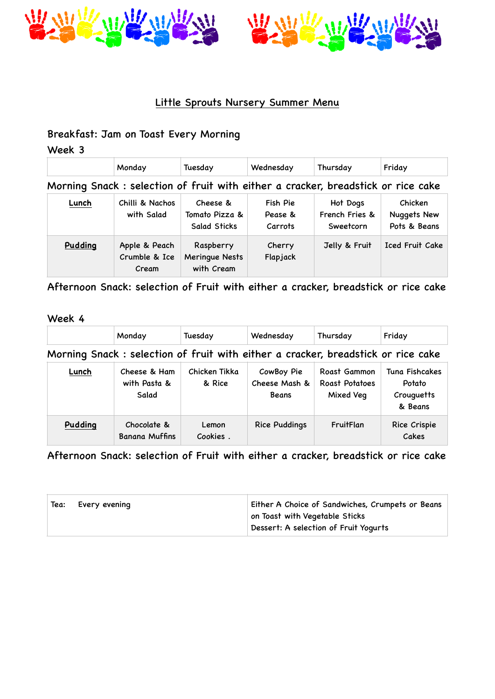



## Little Sprouts Nursery Summer Menu

## Breakfast: Jam on Toast Every Morning

Week 3

|                                                                                  | Monday                        | Tuesday                                    | Wednesday                      | Thursday                                | Friday                                        |
|----------------------------------------------------------------------------------|-------------------------------|--------------------------------------------|--------------------------------|-----------------------------------------|-----------------------------------------------|
| Morning Snack: selection of fruit with either a cracker, breadstick or rice cake |                               |                                            |                                |                                         |                                               |
| Lunch                                                                            | Chilli & Nachos<br>with Salad | Cheese &<br>Tomato Pizza &<br>Salad Sticks | Fish Pie<br>Pease &<br>Carrots | Hot Dogs<br>French Fries &<br>Sweetcorn | Chicken<br><b>Nuggets New</b><br>Pots & Beans |

| Pudding | Apple & Peach<br>Crumble & Ice<br>Cream | Raspberry<br>Meringue Nests<br>with Cream | Cherry<br>Flapjack | Jelly & Fruit | Iced Fruit Cake |
|---------|-----------------------------------------|-------------------------------------------|--------------------|---------------|-----------------|
|---------|-----------------------------------------|-------------------------------------------|--------------------|---------------|-----------------|

Afternoon Snack: selection of Fruit with either a cracker, breadstick or rice cake

### Week 4

|                                                                                  | Monday                                | Tuesday                 | Wednesday                            | Thursday                                    | Friday                                            |
|----------------------------------------------------------------------------------|---------------------------------------|-------------------------|--------------------------------------|---------------------------------------------|---------------------------------------------------|
| Morning Snack: selection of fruit with either a cracker, breadstick or rice cake |                                       |                         |                                      |                                             |                                                   |
| Lunch                                                                            | Cheese & Ham<br>with Pasta &<br>Salad | Chicken Tikka<br>& Rice | CowBoy Pie<br>Cheese Mash &<br>Beans | Roast Gammon<br>Roast Potatoes<br>Mixed Veg | Tuna Fishcakes<br>Potato<br>Crouguetts<br>& Beans |
| Pudding                                                                          | Chocolate &<br><b>Banana Muffins</b>  | Lemon<br>Cookies.       | <b>Rice Puddings</b>                 | FruitFlan                                   | Rice Crispie<br>Cakes                             |

Afternoon Snack: selection of Fruit with either a cracker, breadstick or rice cake

| Tea: | Every evening | Either A Choice of Sandwiches, Crumpets or Beans |
|------|---------------|--------------------------------------------------|
|      |               | on Toast with Vegetable Sticks                   |
|      |               | Dessert: A selection of Fruit Yogurts            |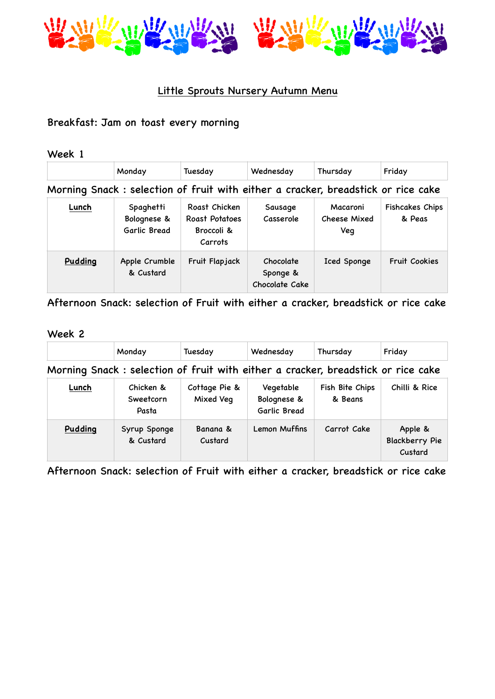

## Little Sprouts Nursery Autumn Menu

### Breakfast: Jam on toast every morning

Week 1

|         | Monday                                                                           | Tuesday                                                  | Wednesday                               | Thursday                        | Friday                    |
|---------|----------------------------------------------------------------------------------|----------------------------------------------------------|-----------------------------------------|---------------------------------|---------------------------|
|         | Morning Snack: selection of fruit with either a cracker, breadstick or rice cake |                                                          |                                         |                                 |                           |
| Lunch   | Spaghetti<br>Bolognese &<br>Garlic Bread                                         | Roast Chicken<br>Roast Potatoes<br>Broccoli &<br>Carrots | Sausage<br>Casserole                    | Macaroni<br>Cheese Mixed<br>Veq | Fishcakes Chips<br>& Peas |
| Pudding | Apple Crumble<br>& Custard                                                       | Fruit Flapjack                                           | Chocolate<br>Sponge &<br>Chocolate Cake | Iced Sponge                     | <b>Fruit Cookies</b>      |

Afternoon Snack: selection of Fruit with either a cracker, breadstick or rice cake

#### Week 2

|                                                                                  | Monday                          | Tuesday                    | Wednesday                                | Thursday                   | Friday                                      |
|----------------------------------------------------------------------------------|---------------------------------|----------------------------|------------------------------------------|----------------------------|---------------------------------------------|
| Morning Snack: selection of fruit with either a cracker, breadstick or rice cake |                                 |                            |                                          |                            |                                             |
| Lunch                                                                            | Chicken &<br>Sweetcorn<br>Pasta | Cottage Pie &<br>Mixed Veq | Vegetable<br>Bolognese &<br>Garlic Bread | Fish Bite Chips<br>& Beans | Chilli & Rice                               |
| Pudding                                                                          | Syrup Sponge<br>& Custard       | Banana &<br>Custard        | Lemon Muffins                            | Carrot Cake                | Apple &<br><b>Blackberry Pie</b><br>Custard |

Afternoon Snack: selection of Fruit with either a cracker, breadstick or rice cake